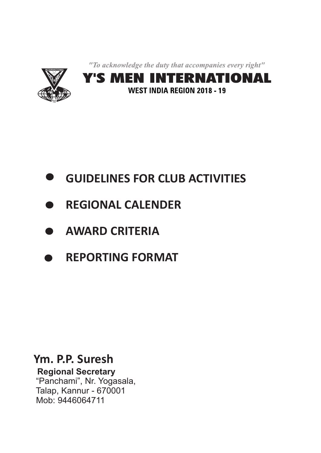"To acknowledge the duty that accompanies every right"



- **GUIDELINES FOR CLUB ACTIVITIES** D
- **REGIONAL CALENDER**  $\blacksquare$
- **AWARD CRITERIA**
- **REPORTING FORMAT**

# **Ym. P.P. Suresh**

**Regional Secretary** "Panchami", Nr. Yogasala, Talap, Kannur - 670001 Mob: 9446064711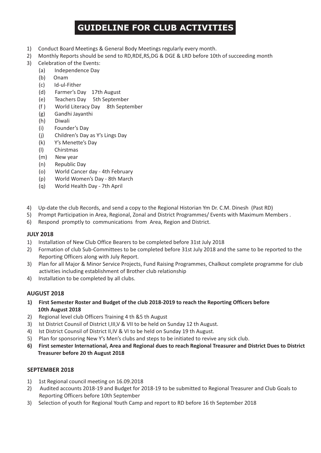## **GUIDELINE FOR CLUB ACTIVITIES**

- 1) Conduct Board Meetings & General Body Meetings regularly every month.
- 2) Monthly Reports should be send to RD,RDE,RS,DG & DGE & LRD before 10th of succeeding month
- 3) Celebration of the Events:
	- (a) Independence Day
	- (b) Onam
	- (c) Id-ul-Fither
	- (d) Farmer's Day 17th August
	- (e) Teachers Day 5th September
	- (f ) World Literacy Day 8th September
	- (g) Gandhi Jayanthi
	- (h) Diwali
	- (i) Founder's Day
	- (j) Children's Day as Y's Lings Day
	- (k) Y's Menette's Day
	- (l) Chirstmas
	- (m) New year
	- (n) Republic Day
	- (o) World Cancer day 4th February
	- (p) World Women's Day 8th March
	- (q) World Health Day 7th April
- 4) Up-date the club Records, and send a copy to the Regional Historian Ym Dr. C.M. Dinesh (Past RD)
- 5) Prompt Participation in Area, Regional, Zonal and District Programmes/ Events with Maximum Members .
- 6) Respond promptly to communications from Area, Region and District.

#### **JULY 2018**

- 1) Installation of New Club Office Bearers to be completed before 31st July 2018
- 2) Formation of club Sub-Committees to be completed before 31st July 2018 and the same to be reported to the Reporting Officers along with July Report.
- 3) Plan for all Major & Minor Service Projects, Fund Raising Programmes, Chalkout complete programme for club activities including establishment of Brother club relationship
- 4) Installation to be completed by all clubs.

#### **AUGUST 2018**

- **1) First Semester Roster and Budget of the club 2018-2019 to reach the Reporting Officers before 10th August 2018**
- 2) Regional level club Officers Training 4 th &5 th August
- 3) Ist District Counsil of District I,III,V & VII to be held on Sunday 12 th August.
- 4) Ist District Counsil of District II,IV & VI to be held on Sunday 19 th August.
- 5) Plan for sponsoring New Y's Men's clubs and steps to be initiated to revive any sick club.
- **6) First semester International, Area and Regional dues to reach Regional Treasurer and District Dues to District Treasurer before 20 th August 2018**

#### **SEPTEMBER 2018**

- 1) 1st Regional council meeting on 16.09.2018
- 2) Audited accounts 2018-19 and Budget for 2018-19 to be submitted to Regional Treasurer and Club Goals to Reporting Officers before 10th September
- 3) Selection of youth for Regional Youth Camp and report to RD before 16 th September 2018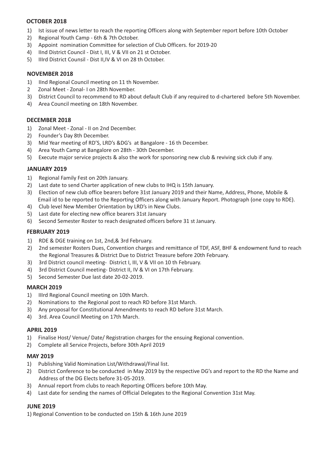#### **OCTOBER 2018**

- 1) Ist issue of news letter to reach the reporting Officers along with September report before 10th October
- 2) Regional Youth Camp 6th & 7th October.
- 3) Appoint nomination Committee for selection of Club Officers. for 2019-20
- 4) IInd District Council Dist I, III, V & VII on 21 st October.
- 5) IIIrd District Counsil Dist II,IV & VI on 28 th October.

#### **NOVEMBER 2018**

- 1) IInd Regional Council meeting on 11 th November.
- 2 Zonal Meet Zonal- I on 28th November.
- 3) District Council to recommend to RD about default Club if any required to d-chartered before 5th November.
- 4) Area Council meeting on 18th November.

#### **DECEMBER 2018**

- 1) Zonal Meet Zonal II on 2nd December.
- 2) Founder's Day 8th December.
- 3) Mid Year meeting of RD'S, LRD's &DG's at Bangalore 16 th December.
- 4) Area Youth Camp at Bangalore on 28th 30th December.
- 5) Execute major service projects & also the work for sponsoring new club & reviving sick club if any.

#### **JANUARY 2019**

- 1) Regional Family Fest on 20th January.
- 2) Last date to send Charter application of new clubs to IHQ is 15th January.
- 3) Election of new club office bearers before 31st January 2019 and their Name, Address, Phone, Mobile & Email id to be reported to the Reporting Officers along with January Report. Photograph (one copy to RDE).
- 4) Club level New Member Orientation by LRD's in New Clubs.
- 5) Last date for electing new office bearers 31st January
- 6) Second Semester Roster to reach designated officers before 31 st January.

#### **FEBRUARY 2019**

- 1) RDE & DGE training on 1st, 2nd,& 3rd February.
- 2) 2nd semester Rosters Dues, Convention charges and remittance of TDF, ASF, BHF & endowment fund to reach the Regional Treasures & District Due to District Treasure before 20th February.
- 3) 3rd District council meeting- District I, III, V & VII on 10 th February.
- 4) 3rd District Council meeting- District II, IV & VI on 17th February.
- 5) Second Semester Due last date 20-02-2019.

#### **MARCH 2019**

- 1) IIIrd Regional Council meeting on 10th March.
- 2) Nominations to the Regional post to reach RD before 31st March.
- 3) Any proposal for Constitutional Amendments to reach RD before 31st March.
- 4) 3rd. Area Council Meeting on 17th March.

#### **APRIL 2019**

- 1) Finalise Host/ Venue/ Date/ Registration charges for the ensuing Regional convention.
- 2) Complete all Service Projects, before 30th April 2019

#### **MAY 2019**

- 1) Publishing Valid Nomination List/Withdrawal/Final list.
- 2) District Conference to be conducted in May 2019 by the respective DG's and report to the RD the Name and Address of the DG Elects before 31-05-2019.
- 3) Annual report from clubs to reach Reporting Officers before 10th May.
- 4) Last date for sending the names of Official Delegates to the Regional Convention 31st May.

#### **JUNE 2019**

1) Regional Convention to be conducted on 15th & 16th June 2019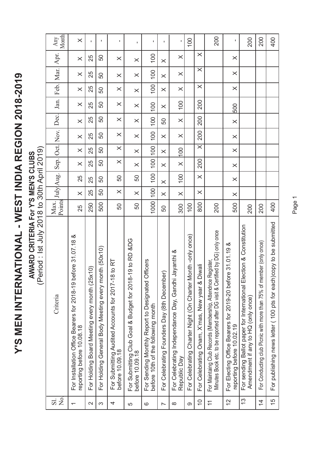Y'S MEN INTERNATIONAL - WEST INDIA REGION 2018-2019 **Y'S MEN INTERNATIONAL - WEST INDIA REGION 2018-2019**

AWARD CRITERIA For Y'S MEN'S CLUBS<br>(Period: Ist July 2018 to 30th April 2019) **AWARD CRITERIA For Y'S MEN'S CLUBS**

(Period : Ist July 2018 to 30th April 2019)

| 2<br>S<br>$\overline{S}$ . | Criteria                                                                                                                                    | Points<br>Max. | July Aug. |          | Sep. Oct. Nov. |          |          | Dec.     | Jan.     |          | Feb. Mar. | Apr.     | Month<br>Any   |
|----------------------------|---------------------------------------------------------------------------------------------------------------------------------------------|----------------|-----------|----------|----------------|----------|----------|----------|----------|----------|-----------|----------|----------------|
|                            | ore 31.07.18 &<br>For Installation Office Bearers for 2018-19 bef<br>reporting before 10.08.18                                              | 25             | $\times$  | 25       | $\times$       | $\times$ | $\times$ | $\times$ | $\times$ | $\times$ | $\times$  | $\times$ | $\times$       |
| $\sim$                     | $\widehat{=}$<br>For Holding Board Meeting every month (25x                                                                                 | 250            | 25        | 25       | 25             | 25       | 25       | 25       | 25       | 25       | 25        | 25       | I.             |
| က                          | For Holding General Body Meeting every month (50x10)                                                                                        | 500            | 50        | 50       | 50             | 50       | 50       | 50       | 50       | 50       | 50        | 50       | $\blacksquare$ |
| 4                          | to RT<br>For Submitting Audited Accounts for 2017-18<br>before 10.09.18                                                                     | 50             | $\times$  | 50       | $\times$       | $\times$ | $\times$ | $\times$ | $\times$ | $\times$ | $\times$  | $\times$ | $\mathbf I$    |
| 5                          | 9 to RD &DG<br>For Submitting Club Goal & Budget for 2018-1<br>before 10.09.18                                                              | 50             | $\times$  | 50       | $\times$       | $\times$ | $\times$ | $\times$ | $\times$ | $\times$ | $\times$  | $\times$ | $\mathbf{I}$   |
| ဇ                          | For Sending Monthly Report to Designated Officers<br>before 10th of the following month                                                     | 1000           | 100       | 100      | 001            | 100      | 100      | 100      | 100      | 100      | 100       | 100      | $\mathbf I$    |
| $\overline{\phantom{0}}$   | For Celebrating Founders Day (8th December)                                                                                                 | 50             | $\times$  | $\times$ | $\times$       | $\times$ | $\times$ | 50       | $\times$ | $\times$ | $\times$  | $\times$ | $\mathbf{I}$   |
| $\infty$                   | For Celebrating Independance Day, Gandhi Jayanthi &<br>Republic Day                                                                         | 300            | $\times$  | 100      | $\times$       | 100      | $\times$ | $\times$ | 100      | $\times$ | $\times$  | $\times$ | f,             |
| တ                          | For Celebrating Charter Night (On Charter Month -only once)                                                                                 | 100            |           |          |                |          |          |          |          |          |           |          | 100            |
| $\frac{0}{1}$              | For Celebrating Onam, X'mas, New year & Diwali                                                                                              | 800            | $\times$  | $\times$ | 200            | $\times$ | 200      | 200      | 200      | $\times$ | $\times$  | $\times$ |                |
| $\overline{1}$             | For Maintaing Club Records (Membership, Attendnce Register,<br>Minutes Book etc. to be reported after DG visit & Certified by DG) only once | 200            |           |          |                |          |          |          |          |          |           |          | 200            |
| $\overline{c}$             | $31.01.19$ &<br>For Electing Office Bearers for 2019-20 before<br>reporting before 10.02.19                                                 | 500            | $\times$  | $\times$ | $\times$       | $\times$ | $\times$ | $\times$ | 500      | $\times$ | $\times$  | $\times$ | $\mathbf{I}$   |
| $\frac{3}{2}$              | For sending Ballot paper for International Election & Constitution<br>Amendment if any to HQ (only once)                                    | 200            |           |          |                |          |          |          |          |          |           |          | 200            |
| $\overline{4}$             | For Conducting club Picnic with more than 75% of member (only once)                                                                         | 200            |           |          |                |          |          |          |          |          |           |          | 200            |
| 15                         | For publishing news letter (100 pts for each)copy to be submitted                                                                           | 400            |           |          |                |          |          |          |          |          |           |          | 400            |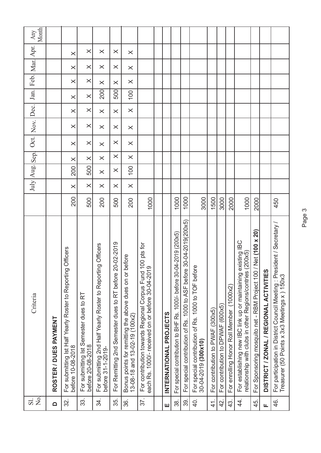| $\vec{a}$ $\vec{a}$ | Criteria                                                                                                                  |      |          | July Aug. Sep. |          | Oct.     | Nov.     | Dec.     | Jan.     | Feb. Mar. Apr. |          |          | Month<br>Any |
|---------------------|---------------------------------------------------------------------------------------------------------------------------|------|----------|----------------|----------|----------|----------|----------|----------|----------------|----------|----------|--------------|
| $\Box$              | ROSTER / DUES PAYMENT                                                                                                     |      |          |                |          |          |          |          |          |                |          |          |              |
| 32.                 | For submitting Ist Half Yearly Roster to Reporting Officers<br>before 10-08-2018                                          | 200  | $\times$ | 200            | $\times$ | $\times$ | $\times$ | $\times$ | $\times$ | $\times$       | $\times$ | $\times$ |              |
| 33.                 | For submitting Ist Semester dues to RT<br>before 20-08-2018                                                               | 500  | $\times$ | 500            | $\times$ | $\times$ | $\times$ | $\times$ | $\times$ | $\times$       | $\times$ | $\times$ |              |
| 34.                 | Officers<br>For submitting 2nd Half Yearly Roster to Reporting<br>before 31-1-2019-                                       | 200  | $\times$ | $\times$       | $\times$ | $\times$ | $\times$ | $\times$ | 200      | $\times$       | $\times$ | $\times$ |              |
| 35.                 | For Remitting 2nd Semester dues to RT before 20-02-2019                                                                   | 500  | $\times$ | $\times$       | $\times$ | $\times$ | $\times$ | $\times$ | 500      | $\times$       | $\times$ | $\times$ |              |
| 36.                 | Bonus points for remitting the above dues on or before<br>13-08-18 and 13-02-19 (100x2)                                   | 200  | $\times$ | 100            | $\times$ | $\times$ | $\times$ | $\times$ | 100      | $\times$       | $\times$ | $\times$ |              |
| 37.                 | For contribution towards Regional Corpus Fund 100 pts for<br>each Rs. 1000/- received on or before 30-04-2019             | 1000 |          |                |          |          |          |          |          |                |          |          |              |
|                     |                                                                                                                           |      |          |                |          |          |          |          |          |                |          |          |              |
| Щ                   | INTERNATIONAL PROJECTS                                                                                                    |      |          |                |          |          |          |          |          |                |          |          |              |
| 38.                 | For special contribution to BHF Rs. 1000/- before 30-04-2019 (200x5)                                                      | 1000 |          |                |          |          |          |          |          |                |          |          |              |
| 39.                 | For special contribution of Rs. 1000 to ASF before 30-04-2019(200x5)                                                      | 1000 |          |                |          |          |          |          |          |                |          |          |              |
| 40.                 | For special contribution of Rs. 1000 to TOF before<br>30-04-2019 (300x10)                                                 | 3000 |          |                |          |          |          |          |          |                |          |          |              |
| $\frac{1}{4}$       | For contribution to PWAF (300x5)                                                                                          | 1500 |          |                |          |          |          |          |          |                |          |          |              |
| $\overline{4}$      | For contribution to DPWAF (600x5)                                                                                         | 3000 |          |                |          |          |          |          |          |                |          |          |              |
| 43.                 | For enrolling Honor Roll Member (1000x2)                                                                                  | 2000 |          |                |          |          |          |          |          |                |          |          |              |
| $\overline{4}$ .    | For establishing new IBC link up or maintaining existing IBC<br>relationship with clubs in other Regions/contries (200x5) | 1000 |          |                |          |          |          |          |          |                |          |          |              |
| 45.                 | For Sponsoring mosquito net - RBM Project 100 / Net (100 x 20)                                                            | 2000 |          |                |          |          |          |          |          |                |          |          |              |
| щ                   | DISTRICT / ZONAL / REGIONAL ACTIVITIES                                                                                    |      |          |                |          |          |          |          |          |                |          |          |              |
| 46.                 | For participation in District Council Meeting : President / Secretary /<br>Treasurer (50 Points x 3x3 Meetings x ) 150x3  | 450  |          |                |          |          |          |          |          |                |          |          |              |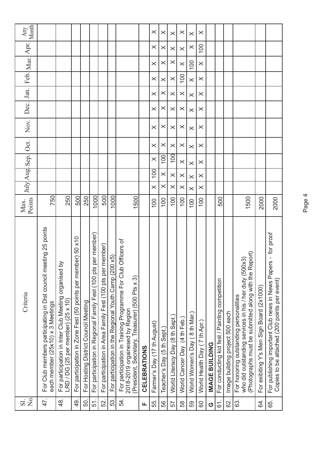| Apr.                               |                                                                                                      |                                                                                              |                                                              |                                      |                                                                   |                                                               |                                                       |                                                                                                                                                      |                     |                             |                            |                                 |                              |                               |                              |                       |                                                |                                 |                                                                                                                                                           |                                           |                                                                                                               |
|------------------------------------|------------------------------------------------------------------------------------------------------|----------------------------------------------------------------------------------------------|--------------------------------------------------------------|--------------------------------------|-------------------------------------------------------------------|---------------------------------------------------------------|-------------------------------------------------------|------------------------------------------------------------------------------------------------------------------------------------------------------|---------------------|-----------------------------|----------------------------|---------------------------------|------------------------------|-------------------------------|------------------------------|-----------------------|------------------------------------------------|---------------------------------|-----------------------------------------------------------------------------------------------------------------------------------------------------------|-------------------------------------------|---------------------------------------------------------------------------------------------------------------|
|                                    |                                                                                                      |                                                                                              |                                                              |                                      |                                                                   |                                                               |                                                       |                                                                                                                                                      |                     | $\times$                    | $\times$                   | $\times$                        | $\times$                     | $\times$                      | 100                          |                       |                                                |                                 |                                                                                                                                                           |                                           |                                                                                                               |
|                                    |                                                                                                      |                                                                                              |                                                              |                                      |                                                                   |                                                               |                                                       |                                                                                                                                                      |                     | $\times$                    | $\times$                   | $\times$                        | $\times$                     | 100                           | $\times$                     |                       |                                                |                                 |                                                                                                                                                           |                                           |                                                                                                               |
| Feb. Mar.                          |                                                                                                      |                                                                                              |                                                              |                                      |                                                                   |                                                               |                                                       |                                                                                                                                                      |                     | $\times$                    | $\times$                   | $\times$                        | 100                          | $\times$                      | $\times$                     |                       |                                                |                                 |                                                                                                                                                           |                                           |                                                                                                               |
| Jan.                               |                                                                                                      |                                                                                              |                                                              |                                      |                                                                   |                                                               |                                                       |                                                                                                                                                      |                     | $\times$                    | ×                          | $\times$                        | $\times$                     | $\times$                      | $\times$                     |                       |                                                |                                 |                                                                                                                                                           |                                           |                                                                                                               |
| Dec.                               |                                                                                                      |                                                                                              |                                                              |                                      |                                                                   |                                                               |                                                       |                                                                                                                                                      |                     | $\times$                    | $\times$                   | $\times$                        | $\times$                     | $\times$                      | $\times$                     |                       |                                                |                                 |                                                                                                                                                           |                                           |                                                                                                               |
| Nov.                               |                                                                                                      |                                                                                              |                                                              |                                      |                                                                   |                                                               |                                                       |                                                                                                                                                      |                     | $\times$                    | $\times$                   | $\times$                        | $\times$                     | $\times$                      | $\times$                     |                       |                                                |                                 |                                                                                                                                                           |                                           |                                                                                                               |
| Oct.                               |                                                                                                      |                                                                                              |                                                              |                                      |                                                                   |                                                               |                                                       |                                                                                                                                                      |                     | $\times$                    | $\times$                   | $\times$                        | $\times$                     | $\times$                      | $\times$                     |                       |                                                |                                 |                                                                                                                                                           |                                           |                                                                                                               |
| Sep.                               |                                                                                                      |                                                                                              |                                                              |                                      |                                                                   |                                                               |                                                       |                                                                                                                                                      |                     | $\times$                    | 100                        | 100                             | $\times$                     | $\times$                      | $\times$                     |                       |                                                |                                 |                                                                                                                                                           |                                           |                                                                                                               |
| July Aug                           |                                                                                                      |                                                                                              |                                                              |                                      |                                                                   |                                                               |                                                       |                                                                                                                                                      |                     | 100                         | $\times$                   | $\times$                        | $\times$                     | $\times$                      | $\times$                     |                       |                                                |                                 |                                                                                                                                                           |                                           |                                                                                                               |
|                                    |                                                                                                      |                                                                                              |                                                              |                                      |                                                                   |                                                               |                                                       |                                                                                                                                                      |                     | $\times$                    | $\times$                   | $\times$                        | $\times$                     | $\times$                      | $\times$                     |                       |                                                |                                 |                                                                                                                                                           |                                           |                                                                                                               |
| Points<br>Max.                     | 750                                                                                                  | 250                                                                                          | 500                                                          | 250                                  | 1000                                                              | 500                                                           | 1000                                                  | 1500                                                                                                                                                 |                     | 100                         | 100                        | 100                             | 100                          | 100                           | 100                          |                       | 500                                            |                                 | 1500                                                                                                                                                      | 2000                                      | 2000                                                                                                          |
| Criteria                           | For Club members participating in Dist council meeting 25 points<br>each member (25x10) x 3 Meetings | δ<br>For participation in Inter Club Meeting organised<br>LRD / DG (25 per member) (25 x 10) | For participation in Zone Fest (50 points per member) 50 x10 | For Hosting District Council Meeting | per member)<br>For participation in Regional Family Fest (100 pts | member)<br>For participation in Area Family Fest (100 pts per | For participation in the Regional Youth Camp (200 x5) | Officers of<br>For participation in Training Programme For Club<br>2018-2019 orgainesed by Region<br>(President, Secretary, Treasurer) (500 Pts x 3) | <b>CELEBRATIONS</b> | Farmer's Day (17 th August) | Teacher's Day (5 th Sept.) | World Literacy Day (8 th Sept.) | World Cancer Day (4 th Feb.) | World Women's Day (8 th Mar.) | World Health Day (7 th Apr.) | <b>IMAGE BUILDING</b> | For conducting kid fest / Painting competition | Image building project 500 each | (Photographs must be submitted along with the Report)<br>who did outstanding services in his / her duty (500x3)<br>For honoring outstanding personalities | For exibiting Y's Men Sign Board (2x1000) | For publishing important Club news in News Papers - for proof<br>Copies to be attached (200 points per event) |
| $\overline{S}$<br>$\overline{S}$ . | 47.                                                                                                  | 48.                                                                                          | $\overline{9}$                                               | 50.                                  | 51                                                                | 52.                                                           | 53.                                                   | 54.                                                                                                                                                  | щ                   | 55.                         | 99                         | 57                              | 58                           | 59                            | 60                           | O                     | <u>:</u>                                       | 62.                             | 63.                                                                                                                                                       | 84.                                       | 65.                                                                                                           |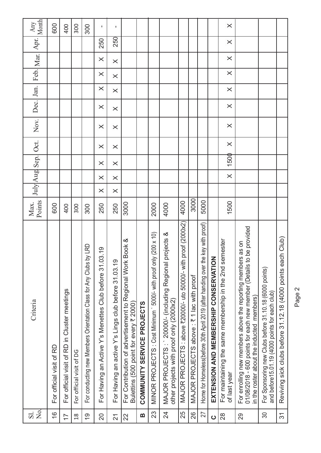| Month<br>Any                       | 600                      | 400                                          | 300                      | 300                                                                  | $\mathbf{I}$                                                | $\blacksquare$                                      |                                                                                                        |                                   |                                                                   |                                                                                                      |                                                                    |                                          |                                                                                  |                                           | $\times$                                                                |                                                                                                                                                                                 |                                                                                                          |                                                                 |
|------------------------------------|--------------------------|----------------------------------------------|--------------------------|----------------------------------------------------------------------|-------------------------------------------------------------|-----------------------------------------------------|--------------------------------------------------------------------------------------------------------|-----------------------------------|-------------------------------------------------------------------|------------------------------------------------------------------------------------------------------|--------------------------------------------------------------------|------------------------------------------|----------------------------------------------------------------------------------|-------------------------------------------|-------------------------------------------------------------------------|---------------------------------------------------------------------------------------------------------------------------------------------------------------------------------|----------------------------------------------------------------------------------------------------------|-----------------------------------------------------------------|
| Apr.                               |                          |                                              |                          |                                                                      | 250                                                         | <b>250</b>                                          |                                                                                                        |                                   |                                                                   |                                                                                                      |                                                                    |                                          |                                                                                  |                                           | $\times$                                                                |                                                                                                                                                                                 |                                                                                                          |                                                                 |
| Feb. Mar.                          |                          |                                              |                          |                                                                      | $\times$                                                    | $\times$                                            |                                                                                                        |                                   |                                                                   |                                                                                                      |                                                                    |                                          |                                                                                  |                                           | $\times$                                                                |                                                                                                                                                                                 |                                                                                                          |                                                                 |
|                                    |                          |                                              |                          |                                                                      | $\times$                                                    | $\times$                                            |                                                                                                        |                                   |                                                                   |                                                                                                      |                                                                    |                                          |                                                                                  |                                           | $\times$                                                                |                                                                                                                                                                                 |                                                                                                          |                                                                 |
| Dec. Jan.                          |                          |                                              |                          |                                                                      | $\times$                                                    | $\times$                                            |                                                                                                        |                                   |                                                                   |                                                                                                      |                                                                    |                                          |                                                                                  |                                           | $\times$                                                                |                                                                                                                                                                                 |                                                                                                          |                                                                 |
|                                    |                          |                                              |                          |                                                                      | $\times$                                                    | $\times$                                            |                                                                                                        |                                   |                                                                   |                                                                                                      |                                                                    |                                          |                                                                                  |                                           | $\times$                                                                |                                                                                                                                                                                 |                                                                                                          |                                                                 |
| Nov.                               |                          |                                              |                          |                                                                      | $\times$                                                    | $\times$                                            |                                                                                                        |                                   |                                                                   |                                                                                                      |                                                                    |                                          |                                                                                  |                                           | $\times$                                                                |                                                                                                                                                                                 |                                                                                                          |                                                                 |
|                                    |                          |                                              |                          |                                                                      | $\times$                                                    | $\times$                                            |                                                                                                        |                                   |                                                                   |                                                                                                      |                                                                    |                                          |                                                                                  |                                           | $\times$                                                                |                                                                                                                                                                                 |                                                                                                          |                                                                 |
| July Aug Sep. Oct.                 |                          |                                              |                          |                                                                      | $\times$                                                    | $\times$                                            |                                                                                                        |                                   |                                                                   |                                                                                                      |                                                                    |                                          |                                                                                  |                                           | 1500                                                                    |                                                                                                                                                                                 |                                                                                                          |                                                                 |
|                                    |                          |                                              |                          |                                                                      | $\times$                                                    | $\times$                                            |                                                                                                        |                                   |                                                                   |                                                                                                      |                                                                    |                                          |                                                                                  |                                           | $\times$                                                                |                                                                                                                                                                                 |                                                                                                          |                                                                 |
|                                    |                          |                                              |                          |                                                                      | $\times$                                                    | $\times$                                            |                                                                                                        |                                   |                                                                   |                                                                                                      |                                                                    |                                          |                                                                                  |                                           |                                                                         |                                                                                                                                                                                 |                                                                                                          |                                                                 |
| Points<br>Max.                     | 600                      | 400                                          | 300                      | 300                                                                  | 250                                                         | 250                                                 | 3000                                                                                                   |                                   | 2000                                                              | 4000                                                                                                 | 4000                                                               | 3000                                     | 5000                                                                             |                                           | 1500                                                                    |                                                                                                                                                                                 |                                                                                                          |                                                                 |
| Criteria                           | For official visit of RD | For official visit of RD in Cluster meetings | For official visit of DG | by LRD<br>For conducting new Members Orientation Class for Any Clubs | 03.19<br>For Having an Active Y's Menettes Club before 31.0 | For Having an active Y's Lings club before 31.03.19 | Book &<br>For Contribution of advertisement to Regional Work<br>Bulettins (500 point for every ₹ 2000) | <b>COMMUNITY SERVICE PROJECTS</b> | MINOR PROJECTS : Cost Minimum ` 5000/- with proof only (200 x 10) | projects &<br>MAJOR PROJECTS: 20000/- (including Regional<br>other projects with proof only (2000x2) | proof (2000x2)<br>MAJOR PROJECTS : above ₹20000/- uto 50000/- with | MAJOR PROJECTS above: ₹ 1 lac with proof | Home for Homeless(before 30th April 2019 (after handing over the key with proof) | Z<br>EXTENSION AND MEMBERSHIP CONSERVATIO | For maintaining the same membership in the 2nd semester<br>of last year | 01/08/2018 - 600 points for each new member (Details to be provided<br>For enrolling new members above the reporting members as on<br>in the roster about the inducted members) | For Sponsoring new Clubs before 31.10.18 (6000 points)<br>and before15.01.19 (4000 points for each club) | ch Club)<br>Reviving sick clubs before 31.12.18 (4000 points ea |
| $\overline{S}$<br>$\overline{S}$ . | $\frac{8}{1}$            | $\overline{1}$                               | $\frac{8}{18}$           | $\frac{6}{1}$                                                        | $\overline{C}$                                              | $\overline{2}$ 1                                    | 22                                                                                                     | B                                 | 23                                                                | $\overline{24}$                                                                                      | 25                                                                 | 26                                       | 27                                                                               | $\mathbf C$                               | 28                                                                      | 29                                                                                                                                                                              | 30                                                                                                       | $\overline{\mathcal{E}}$                                        |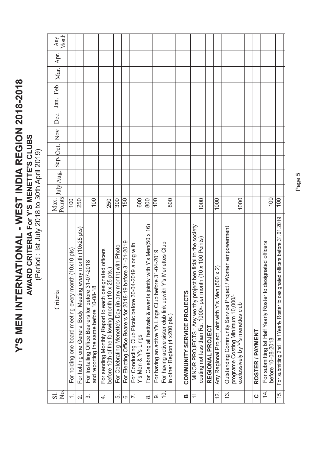Y'S MEN INTERNATIONAL - WEST INDIA REGION 2018-2018 **Y'S MEN INTERNATIONAL - WEST INDIA REGION 2018-2018** AWARD CRITERIA For Y'S MENETTE'S CLUBS<br>(Period : Ist July 2018 to 30th April 2019) **AWARD CRITERIA For Y'S MENETTE'S CLUBS**

(Period : Ist July 2018 to 30th April 2019)

| Month<br>Any            |                                                                    |                                                              |                                                                                               |                                                                                                             |                                                         |                                                           |                                                                                |                                                                      |                                                       |                                                                                                 |                                   |                                                                                                                               |                  |                                                   |                                                                                                |                                   |                  |                                                                                   |                                                                                |
|-------------------------|--------------------------------------------------------------------|--------------------------------------------------------------|-----------------------------------------------------------------------------------------------|-------------------------------------------------------------------------------------------------------------|---------------------------------------------------------|-----------------------------------------------------------|--------------------------------------------------------------------------------|----------------------------------------------------------------------|-------------------------------------------------------|-------------------------------------------------------------------------------------------------|-----------------------------------|-------------------------------------------------------------------------------------------------------------------------------|------------------|---------------------------------------------------|------------------------------------------------------------------------------------------------|-----------------------------------|------------------|-----------------------------------------------------------------------------------|--------------------------------------------------------------------------------|
| Apr.                    |                                                                    |                                                              |                                                                                               |                                                                                                             |                                                         |                                                           |                                                                                |                                                                      |                                                       |                                                                                                 |                                   |                                                                                                                               |                  |                                                   |                                                                                                |                                   |                  |                                                                                   |                                                                                |
| Feb. Mar.               |                                                                    |                                                              |                                                                                               |                                                                                                             |                                                         |                                                           |                                                                                |                                                                      |                                                       |                                                                                                 |                                   |                                                                                                                               |                  |                                                   |                                                                                                |                                   |                  |                                                                                   |                                                                                |
|                         |                                                                    |                                                              |                                                                                               |                                                                                                             |                                                         |                                                           |                                                                                |                                                                      |                                                       |                                                                                                 |                                   |                                                                                                                               |                  |                                                   |                                                                                                |                                   |                  |                                                                                   |                                                                                |
| Jan.                    |                                                                    |                                                              |                                                                                               |                                                                                                             |                                                         |                                                           |                                                                                |                                                                      |                                                       |                                                                                                 |                                   |                                                                                                                               |                  |                                                   |                                                                                                |                                   |                  |                                                                                   |                                                                                |
| Dec.                    |                                                                    |                                                              |                                                                                               |                                                                                                             |                                                         |                                                           |                                                                                |                                                                      |                                                       |                                                                                                 |                                   |                                                                                                                               |                  |                                                   |                                                                                                |                                   |                  |                                                                                   |                                                                                |
|                         |                                                                    |                                                              |                                                                                               |                                                                                                             |                                                         |                                                           |                                                                                |                                                                      |                                                       |                                                                                                 |                                   |                                                                                                                               |                  |                                                   |                                                                                                |                                   |                  |                                                                                   |                                                                                |
| Sep. Oct. Nov.          |                                                                    |                                                              |                                                                                               |                                                                                                             |                                                         |                                                           |                                                                                |                                                                      |                                                       |                                                                                                 |                                   |                                                                                                                               |                  |                                                   |                                                                                                |                                   |                  |                                                                                   |                                                                                |
|                         |                                                                    |                                                              |                                                                                               |                                                                                                             |                                                         |                                                           |                                                                                |                                                                      |                                                       |                                                                                                 |                                   |                                                                                                                               |                  |                                                   |                                                                                                |                                   |                  |                                                                                   |                                                                                |
| Points July Aug.        |                                                                    |                                                              |                                                                                               |                                                                                                             |                                                         |                                                           |                                                                                |                                                                      |                                                       |                                                                                                 |                                   |                                                                                                                               |                  |                                                   |                                                                                                |                                   |                  |                                                                                   |                                                                                |
|                         |                                                                    |                                                              |                                                                                               |                                                                                                             |                                                         |                                                           |                                                                                |                                                                      |                                                       |                                                                                                 |                                   |                                                                                                                               |                  |                                                   |                                                                                                |                                   |                  |                                                                                   |                                                                                |
| Max.                    | 100                                                                | 250                                                          | 100                                                                                           | 250                                                                                                         | 300                                                     | $\overline{150}$                                          | 600                                                                            | $\overline{80}$                                                      | 100                                                   | 800                                                                                             |                                   | 1000                                                                                                                          |                  | 1000                                              |                                                                                                | 1000                              |                  | 100                                                                               | $\frac{100}{2}$                                                                |
| Criteria                | $(10x10 \text{ pts})$<br>For holding one board meeting every month | For holding one General Body Meeting every month (10x25 pts) | For Installing Office Bearers for before 31-07-2018<br>and reporting the same before 10-08-18 | For sending Monthly Report to each designated officers<br>before 10th of the following month (10 x 25 pts.) | For Celebrating Menette's Day (in any month) with Photo | For Electing Office Bearers for 2018-19 before 31-01-2019 | For Conducting Club Picnic before 30-04-2019 along with<br>Y's Men & Y's Lings | For Celebrating all festivals & events jointly with Y's Men(50 x 16) | For having an active Y's Lings Club before 31-04-2019 | Menettes Club<br>For having active sister club link upwith Y's<br>in other Region (4 x200 pts.) | <b>COMMUNITY SERVICE PROJECTS</b> | MINOR PROJECTS : Any worthy project benificial to the society<br>costing not less than Rs. 1000/- per month (10 x 100 Points) | REGIONAL PROJECT | Any Regional Project joint with Y's Men (500 x 2) | Outstanding Community Service Project / Women empowerment<br>programe Costing Minimum 10,000/- | exclussively by Y's menettes club | ROSTER / PAYMENT | For submitting Ist Half Yearly Roster to designated officers<br>before 10-08-2018 | For submitting 2nd Half Yearly Roster to designated officers before 31.01.2019 |
| ΣÓ.<br>$\overline{S}$ . | $\div$                                                             | $\overline{\mathsf{N}}$                                      | က်                                                                                            | $\overline{4}$ .                                                                                            | ΓÒ.                                                     | Ġ                                                         | $\ddot{\sim}$                                                                  | $\infty$                                                             | တ                                                     | $\rightleftharpoons$                                                                            | B                                 | $\pm$                                                                                                                         |                  | <u>is</u>                                         | 13.                                                                                            |                                   | $\mathbf 0$      | <u>नं</u>                                                                         | $\overline{5}$ .                                                               |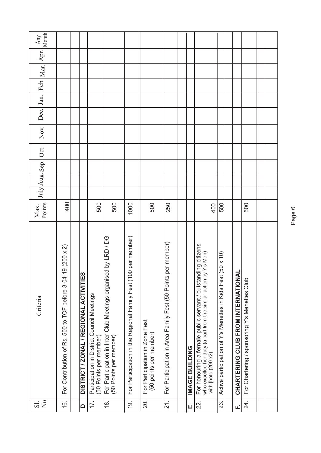| $\frac{1}{2}$<br>$\overline{S}$ . | Criteria                                                                                                                                                                                                             | Points<br>Max. |  | July Aug Sep. Oct. | Nov. | Dec. | Jan. | Feb. Mar. Apr. | Month<br>Any |
|-----------------------------------|----------------------------------------------------------------------------------------------------------------------------------------------------------------------------------------------------------------------|----------------|--|--------------------|------|------|------|----------------|--------------|
| 16.                               | $(200 \times 2)$<br>$\circ$<br>For Contribution of Rs. 500 to TOF before 3-04-1                                                                                                                                      | 400            |  |                    |      |      |      |                |              |
|                                   |                                                                                                                                                                                                                      |                |  |                    |      |      |      |                |              |
| $\Omega$                          | <b>DISTRICT / ZONAL / REGIONAL ACTIVITIES</b>                                                                                                                                                                        |                |  |                    |      |      |      |                |              |
| 17.                               | Participation in District Council Meetings<br>(50 Points per member)                                                                                                                                                 | 500            |  |                    |      |      |      |                |              |
| $\frac{8}{10}$                    | For Participation in Inter Club Meetings organised by LRD / DG<br>(50 Points per member)                                                                                                                             | 500            |  |                    |      |      |      |                |              |
| <u>(6)</u>                        | For Participation in the Regional Family Fest (100 per member)                                                                                                                                                       | 1000           |  |                    |      |      |      |                |              |
| 20.                               | For Participation in Zone Fest<br>(50 points per member)                                                                                                                                                             | 500            |  |                    |      |      |      |                |              |
| $\overline{21}$ .                 | For Participation in Area Family Fest (50 Points per member)                                                                                                                                                         | 250            |  |                    |      |      |      |                |              |
|                                   |                                                                                                                                                                                                                      |                |  |                    |      |      |      |                |              |
| ш                                 | <b>IMAGE BUILDING</b>                                                                                                                                                                                                |                |  |                    |      |      |      |                |              |
| 22.                               | For honouring a female public servant / outstanding citizens<br>who excelled her duty (a part from the similar action by Y's Men)<br>who excelled her duty (a part from the similar action by<br>with [hoto (200 x2) | 400            |  |                    |      |      |      |                |              |
| 23.                               | $50 \times 10$<br>Active participation of Y's Menettes in Kids Fest                                                                                                                                                  | 500            |  |                    |      |      |      |                |              |
|                                   |                                                                                                                                                                                                                      |                |  |                    |      |      |      |                |              |
| цj                                | CHARTERING CLUB FROM INTERNATIONAL                                                                                                                                                                                   |                |  |                    |      |      |      |                |              |
| 24.                               | For Chartering / sponsoring Y's Menettes Club                                                                                                                                                                        | 500            |  |                    |      |      |      |                |              |
|                                   |                                                                                                                                                                                                                      |                |  |                    |      |      |      |                |              |
|                                   |                                                                                                                                                                                                                      |                |  |                    |      |      |      |                |              |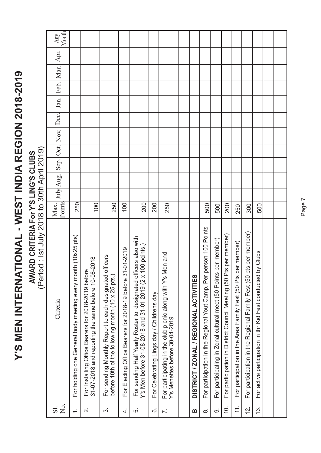Y'S MEN INTERNATIONAL - WEST INDIA REGION 2018-2019 **Y'S MEN INTERNATIONAL - WEST INDIA REGION 2018-2019**

**AWARD CRITERIA For Y'S LING'S CLUBS**<br>(Period: Ist July 2018 to 30th April 2019) **AWARD CRITERIA For Y'S LING'S CLUBS**

(Period : Ist July 2018 to 30th April 2019)

| Month<br>Any |                                                              |                                                                                                           |                                                                                                                |                                                                   |                                                                                                                                       |                                           |                                                                                               |                                        |                                                                    |                                                                    |                                                                        |                                                               |                                                                   |                                                                |  |
|--------------|--------------------------------------------------------------|-----------------------------------------------------------------------------------------------------------|----------------------------------------------------------------------------------------------------------------|-------------------------------------------------------------------|---------------------------------------------------------------------------------------------------------------------------------------|-------------------------------------------|-----------------------------------------------------------------------------------------------|----------------------------------------|--------------------------------------------------------------------|--------------------------------------------------------------------|------------------------------------------------------------------------|---------------------------------------------------------------|-------------------------------------------------------------------|----------------------------------------------------------------|--|
| Apr.         |                                                              |                                                                                                           |                                                                                                                |                                                                   |                                                                                                                                       |                                           |                                                                                               |                                        |                                                                    |                                                                    |                                                                        |                                                               |                                                                   |                                                                |  |
| Feb. Mar.    |                                                              |                                                                                                           |                                                                                                                |                                                                   |                                                                                                                                       |                                           |                                                                                               |                                        |                                                                    |                                                                    |                                                                        |                                                               |                                                                   |                                                                |  |
|              |                                                              |                                                                                                           |                                                                                                                |                                                                   |                                                                                                                                       |                                           |                                                                                               |                                        |                                                                    |                                                                    |                                                                        |                                                               |                                                                   |                                                                |  |
| Jan.         |                                                              |                                                                                                           |                                                                                                                |                                                                   |                                                                                                                                       |                                           |                                                                                               |                                        |                                                                    |                                                                    |                                                                        |                                                               |                                                                   |                                                                |  |
|              |                                                              |                                                                                                           |                                                                                                                |                                                                   |                                                                                                                                       |                                           |                                                                                               |                                        |                                                                    |                                                                    |                                                                        |                                                               |                                                                   |                                                                |  |
|              |                                                              |                                                                                                           |                                                                                                                |                                                                   |                                                                                                                                       |                                           |                                                                                               |                                        |                                                                    |                                                                    |                                                                        |                                                               |                                                                   |                                                                |  |
|              |                                                              |                                                                                                           |                                                                                                                |                                                                   |                                                                                                                                       |                                           |                                                                                               |                                        |                                                                    |                                                                    |                                                                        |                                                               |                                                                   |                                                                |  |
|              |                                                              |                                                                                                           |                                                                                                                |                                                                   |                                                                                                                                       |                                           |                                                                                               |                                        |                                                                    |                                                                    |                                                                        |                                                               |                                                                   |                                                                |  |
|              |                                                              |                                                                                                           |                                                                                                                |                                                                   |                                                                                                                                       |                                           |                                                                                               |                                        |                                                                    |                                                                    |                                                                        |                                                               |                                                                   |                                                                |  |
|              |                                                              |                                                                                                           |                                                                                                                |                                                                   |                                                                                                                                       |                                           |                                                                                               |                                        |                                                                    |                                                                    |                                                                        |                                                               |                                                                   |                                                                |  |
|              | 250                                                          | 100                                                                                                       | 250                                                                                                            | 100                                                               | 200                                                                                                                                   | 200                                       | 250                                                                                           |                                        | 500                                                                | 500                                                                | 200                                                                    | 250                                                           | 300                                                               | 500                                                            |  |
| Criteria     | For holding one General body meeting every month (10x25 pts) | For Installing Office Bearers for 2018-2019 before<br>31-07-2018 and reporting the same before 10-08-2018 | officers<br>For sending Monthly Report to each designated<br>before 10th of the following month (10 x 25 pts.) | $-01 - 2019$<br>For Electing Office Bearers for 2018-19 before 31 | cers also with<br>00 points.)<br>For sending Half Yearly Roster to designated offi<br>Y's Men before 31-08-2018 and 31-01 2019 (2 x 1 | For Celebrating Lings day / Childrens day | For participating in the club picnic along with Y's Men and<br>Y's Menettes before 30-04-2019 | DISTRICT / ZONAL / REGIONAL ACTIVITIES | For participation in the Regional Yout Camp. Per person 100 Points | per member)<br>For participating in Zonal cultural meet (50 Points | ts per member)<br>For participation in District Council Meeting (50 Pt | For participation in the Area Family Fest (50 Pts per member) | For participation in the Regional Family Fest (50 pts per member) | by Clubs<br>For active participation in thr Kid Fest conducted |  |
| Σ.<br>Sl.    | $\div$                                                       | $\overline{\mathcal{N}}$                                                                                  | က                                                                                                              | 4.                                                                | ς.                                                                                                                                    | 6                                         | $\overline{r}$ .                                                                              | B                                      | $\dot{\infty}$                                                     | တ                                                                  | $\overline{Q}$ .                                                       | $\pm$                                                         | <u>신</u>                                                          | 13.                                                            |  |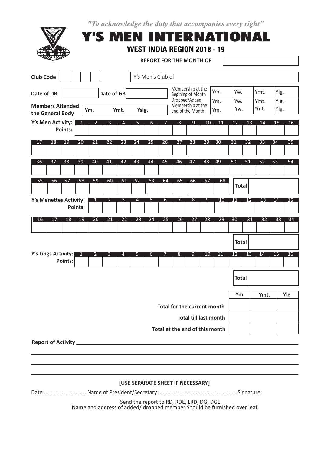"To acknowledge the duty that accompanies every right"

| <b>Club Code</b>                               |                 |                                                     |                 |                 |                  | Y's Men's Club of |                 |                                                        |                 |                 |                 |                 |                 |                 |                 |
|------------------------------------------------|-----------------|-----------------------------------------------------|-----------------|-----------------|------------------|-------------------|-----------------|--------------------------------------------------------|-----------------|-----------------|-----------------|-----------------|-----------------|-----------------|-----------------|
| Date of DB                                     |                 | Date of GB                                          |                 |                 |                  |                   |                 | Membership at the<br>Begining of Month                 |                 | Ym.             | Yw.             |                 | Ymt.            | Ylg.            |                 |
| <b>Members Attended</b><br>the General Body    | Ym.             | Ymt.                                                |                 | Yslg.           |                  |                   |                 | Dropped/Added<br>Membership at the<br>end of the Month |                 | Ym.<br>Ym.      | Yw.<br>Yw.      |                 | Ymt.<br>Ymt.    | Ylg.<br>Ylg.    |                 |
| Y's Men Activity:<br>1<br><b>Points:</b>       | $\overline{2}$  | 3                                                   | 4               | 5               | 6                | 7                 | 8               | $\overline{9}$                                         | 10              | 11              | 12              | 13              | 14              | 15              | 16              |
| 19<br>17<br>18<br>20                           | 21              | 22                                                  | 23              | 24              | 25               | 26                | 27              | 28                                                     | 29              | 30              | 31              | 32              | 33              | 34              | 35              |
| $\overline{38}$<br>$\overline{39}$<br>36<br>37 | 40              | 41                                                  | 42              | 43              | 44               | 45                | 46              | 47                                                     | 48              | 49              | $\overline{50}$ | $\overline{51}$ | $\overline{52}$ | $\overline{53}$ | 54              |
| 55<br>56<br>58<br>57                           | 59              | 60                                                  | 61              | 62              | 63               | 64                | 65              | 66                                                     | 67              | 68              | <b>Total</b>    |                 |                 |                 |                 |
| Y's Menettes Activity:<br><b>Points:</b>       | 1               | $\overline{2}$                                      | $\overline{3}$  | 4               | $5\phantom{1}$   | 6                 | 7               | 8                                                      | 9               | 10              | 11              | 12              | 13              | 14              | 15              |
| 17<br>18<br>19<br>16                           | $\overline{20}$ | $\overline{21}$                                     | $\overline{22}$ | $\overline{23}$ | 24               | $\overline{25}$   | $\overline{26}$ | 27                                                     | $\overline{28}$ | $\overline{29}$ | $\overline{30}$ | $\overline{31}$ | $\overline{32}$ | 33              | $\overline{34}$ |
|                                                |                 |                                                     |                 |                 |                  |                   |                 |                                                        |                 |                 | <b>Total</b>    |                 |                 |                 |                 |
| Y's Lings Activity:<br><b>Points:</b>          | $\overline{2}$  | $\overline{3}$                                      | $\overline{4}$  | $\overline{5}$  | $6 \overline{6}$ | 7                 | 8 <sup>2</sup>  | $\overline{9}$                                         | 10              | 11              | 12              | 13              | 14              | 15              | 16              |
|                                                |                 |                                                     |                 |                 |                  |                   |                 |                                                        |                 |                 | <b>Total</b>    |                 |                 |                 |                 |
|                                                |                 |                                                     |                 |                 |                  |                   |                 | Total for the current month                            |                 |                 | Ym.             |                 | Ymt.            |                 | Ylg             |
|                                                |                 |                                                     |                 |                 |                  |                   |                 | <b>Total till last month</b>                           |                 |                 |                 |                 |                 |                 |                 |
| <b>Report of Activity</b>                      |                 | <u> 1980 - Johann Barbara, martxa alemaniar arg</u> |                 |                 |                  |                   |                 | Total at the end of this month                         |                 |                 |                 |                 |                 |                 |                 |
|                                                |                 |                                                     |                 |                 |                  |                   |                 |                                                        |                 |                 |                 |                 |                 |                 |                 |